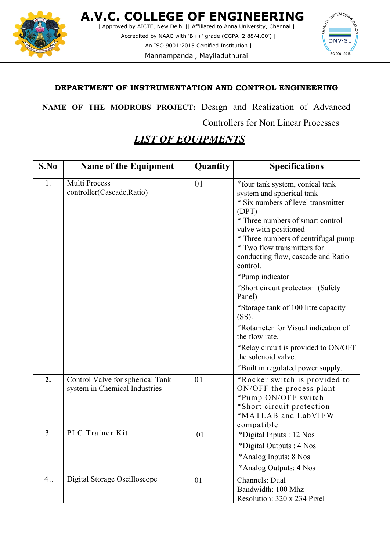

 **A.V.C. COLLEGE OF ENGINEERING** | Approved by AICTE, New Delhi || Affiliated to Anna University, Chennai | | Accredited by NAAC with 'B++' grade (CGPA '2.88/4.00') |

| An ISO 9001:2015 Certified Institution |

Mannampandal, Mayiladuthurai



## **DEPARTMENT OF INSTRUMENTATION AND CONTROL ENGINEERING**

**NAME OF THE MODROBS PROJECT:** Design and Realization of Advanced Controllers for Non Linear Processes

## *LIST OF EQUIPMENTS*

| S.No             | <b>Name of the Equipment</b>                                      | Quantity | <b>Specifications</b>                                                                                                                                                                                                                                                                                                                                                                                                                                                                                                                                                           |
|------------------|-------------------------------------------------------------------|----------|---------------------------------------------------------------------------------------------------------------------------------------------------------------------------------------------------------------------------------------------------------------------------------------------------------------------------------------------------------------------------------------------------------------------------------------------------------------------------------------------------------------------------------------------------------------------------------|
| 1.               | <b>Multi Process</b><br>controller(Cascade, Ratio)                | 01       | *four tank system, conical tank<br>system and spherical tank<br>* Six numbers of level transmitter<br>(DPT)<br>* Three numbers of smart control<br>valve with positioned<br>* Three numbers of centrifugal pump<br>* Two flow transmitters for<br>conducting flow, cascade and Ratio<br>control.<br>*Pump indicator<br>*Short circuit protection (Safety<br>Panel)<br>*Storage tank of 100 litre capacity<br>(SS).<br>*Rotameter for Visual indication of<br>the flow rate.<br>*Relay circuit is provided to ON/OFF<br>the solenoid valve.<br>*Built in regulated power supply. |
| 2.               | Control Valve for spherical Tank<br>system in Chemical Industries | 01       | *Rocker switch is provided to<br>ON/OFF the process plant<br>*Pump ON/OFF switch<br>*Short circuit protection<br>*MATLAB and LabVIEW<br>compatible                                                                                                                                                                                                                                                                                                                                                                                                                              |
| $\overline{3}$ . | PLC Trainer Kit                                                   | 01       | *Digital Inputs : 12 Nos<br>*Digital Outputs: 4 Nos<br>*Analog Inputs: 8 Nos<br>*Analog Outputs: 4 Nos                                                                                                                                                                                                                                                                                                                                                                                                                                                                          |
| 4.1              | Digital Storage Oscilloscope                                      | 01       | Channels: Dual<br>Bandwidth: 100 Mhz<br>Resolution: 320 x 234 Pixel                                                                                                                                                                                                                                                                                                                                                                                                                                                                                                             |